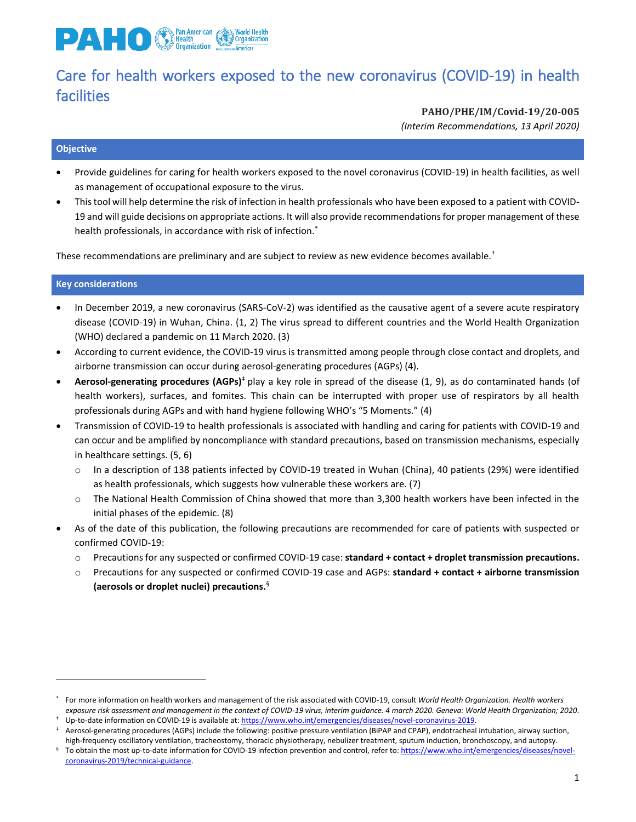

# Care for health workers exposed to the new coronavirus (COVID-19) in health facilities

**PAHO/PHE/IM/Covid-19/20-005**

*(Interim Recommendations, 13 April 2020)*

## **Objective**

- Provide guidelines for caring for health workers exposed to the novel coronavirus (COVID-19) in health facilities, as well as management of occupational exposure to the virus.
- This tool will help determine the risk of infection in health professionals who have been exposed to a patient with COVID-19 and will guide decisions on appropriate actions. It will also provide recommendations for proper management of these health professionals, in accordance with risk of infection.<sup>\*</sup>

These recommendations are preliminary and are subject to review as new evidence becomes available.†

### **Key considerations**

 $\overline{a}$ 

- In December 2019, a new coronavirus (SARS-CoV-2) was identified as the causative agent of a severe acute respiratory disease (COVID-19) in Wuhan, China. (1, 2) The virus spread to different countries and the World Health Organization (WHO) declared a pandemic on 11 March 2020. (3)
- According to current evidence, the COVID-19 virus is transmitted among people through close contact and droplets, and airborne transmission can occur during aerosol-generating procedures (AGPs) (4).
- **Aerosol-generating procedures (AGPs)**<sup>‡</sup> play a key role in spread of the disease (1, 9), as do contaminated hands (of health workers), surfaces, and fomites. This chain can be interrupted with proper use of respirators by all health professionals during AGPs and with hand hygiene following WHO's "5 Moments." (4)
- Transmission of COVID-19 to health professionals is associated with handling and caring for patients with COVID-19 and can occur and be amplified by noncompliance with standard precautions, based on transmission mechanisms, especially in healthcare settings. (5, 6)
	- o In a description of 138 patients infected by COVID-19 treated in Wuhan (China), 40 patients (29%) were identified as health professionals, which suggests how vulnerable these workers are. (7)
	- o The National Health Commission of China showed that more than 3,300 health workers have been infected in the initial phases of the epidemic. (8)
- As of the date of this publication, the following precautions are recommended for care of patients with suspected or confirmed COVID-19:
	- o Precautions for any suspected or confirmed COVID-19 case: **standard + contact + droplet transmission precautions.**
	- o Precautions for any suspected or confirmed COVID-19 case and AGPs: **standard + contact + airborne transmission (aerosols or droplet nuclei) precautions.** §

<sup>\*</sup> For more information on health workers and management of the risk associated with COVID-19, consult *World Health Organization. Health workers exposure risk assessment and management in the context of COVID-19 virus, interim guidance. 4 march 2020. Geneva: World Health Organization; 2020*.

<sup>†</sup> Up-to-date information on COVID-19 is available at[: https://www.who.int/emergencies/diseases/novel-coronavirus-2019.](https://www.who.int/emergencies/diseases/novel-coronavirus-2019)

Aerosol-generating procedures (AGPs) include the following: positive pressure ventilation (BiPAP and CPAP), endotracheal intubation, airway suction, high-frequency oscillatory ventilation, tracheostomy, thoracic physiotherapy, nebulizer treatment, sputum induction, bronchoscopy, and autopsy.

To obtain the most up-to-date information for COVID-19 infection prevention and control, refer to[: https://www.who.int/emergencies/diseases/novel](https://www.who.int/emergencies/diseases/novel-coronavirus-2019/technical-guidance)[coronavirus-2019/technical-guidance.](https://www.who.int/emergencies/diseases/novel-coronavirus-2019/technical-guidance)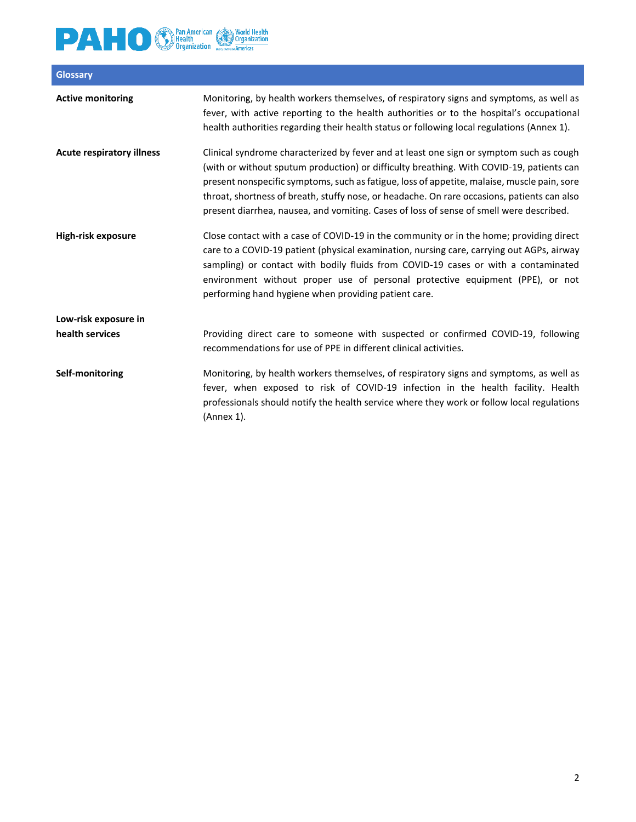

| <b>Glossary</b>                  |                                                                                                                                                                                                                                                                                                                                                                                                                                                                              |
|----------------------------------|------------------------------------------------------------------------------------------------------------------------------------------------------------------------------------------------------------------------------------------------------------------------------------------------------------------------------------------------------------------------------------------------------------------------------------------------------------------------------|
| <b>Active monitoring</b>         | Monitoring, by health workers themselves, of respiratory signs and symptoms, as well as<br>fever, with active reporting to the health authorities or to the hospital's occupational<br>health authorities regarding their health status or following local regulations (Annex 1).                                                                                                                                                                                            |
| <b>Acute respiratory illness</b> | Clinical syndrome characterized by fever and at least one sign or symptom such as cough<br>(with or without sputum production) or difficulty breathing. With COVID-19, patients can<br>present nonspecific symptoms, such as fatigue, loss of appetite, malaise, muscle pain, sore<br>throat, shortness of breath, stuffy nose, or headache. On rare occasions, patients can also<br>present diarrhea, nausea, and vomiting. Cases of loss of sense of smell were described. |
| High-risk exposure               | Close contact with a case of COVID-19 in the community or in the home; providing direct<br>care to a COVID-19 patient (physical examination, nursing care, carrying out AGPs, airway<br>sampling) or contact with bodily fluids from COVID-19 cases or with a contaminated<br>environment without proper use of personal protective equipment (PPE), or not<br>performing hand hygiene when providing patient care.                                                          |
| Low-risk exposure in             |                                                                                                                                                                                                                                                                                                                                                                                                                                                                              |
| health services                  | Providing direct care to someone with suspected or confirmed COVID-19, following<br>recommendations for use of PPE in different clinical activities.                                                                                                                                                                                                                                                                                                                         |
| Self-monitoring                  | Monitoring, by health workers themselves, of respiratory signs and symptoms, as well as<br>fever, when exposed to risk of COVID-19 infection in the health facility. Health<br>professionals should notify the health service where they work or follow local regulations<br>(Annex 1).                                                                                                                                                                                      |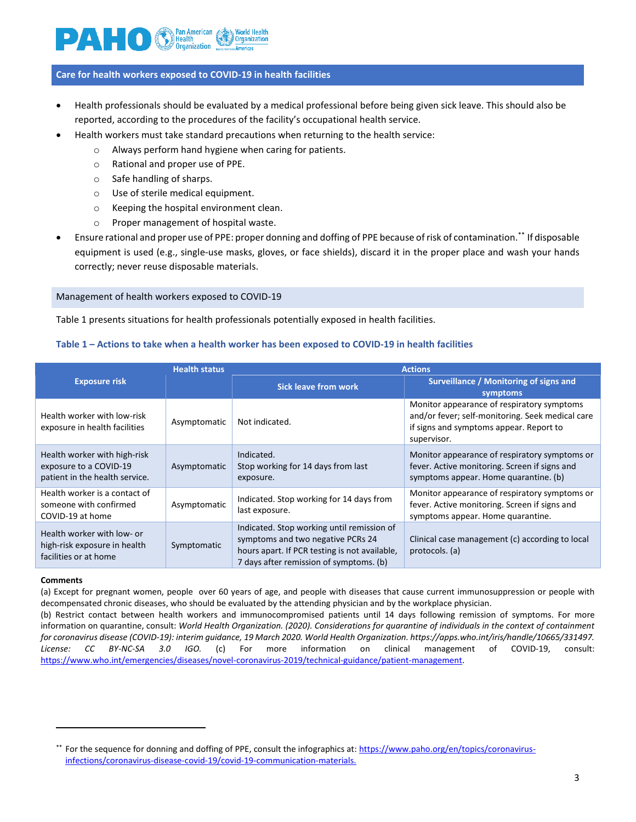

#### **Care for health workers exposed to COVID-19 in health facilities**

- Health professionals should be evaluated by a medical professional before being given sick leave. This should also be reported, according to the procedures of the facility's occupational health service.
	- Health workers must take standard precautions when returning to the health service:
		- o Always perform hand hygiene when caring for patients.
			- o Rational and proper use of PPE.
			- o Safe handling of sharps.
			- o Use of sterile medical equipment.
			- o Keeping the hospital environment clean.
			- o Proper management of hospital waste.
- Ensure rational and proper use of PPE: proper donning and doffing of PPE because ofrisk of contamination.\*\* If disposable equipment is used (e.g., single-use masks, gloves, or face shields), discard it in the proper place and wash your hands correctly; never reuse disposable materials.

#### Management of health workers exposed to COVID-19

Table 1 presents situations for health professionals potentially exposed in health facilities.

#### **Table 1 – Actions to take when a health worker has been exposed to COVID-19 in health facilities**

|                                                                                          | <b>Health status</b> | <b>Actions</b>                                                                                                                                                              |                                                                                                                                                          |  |  |  |  |  |
|------------------------------------------------------------------------------------------|----------------------|-----------------------------------------------------------------------------------------------------------------------------------------------------------------------------|----------------------------------------------------------------------------------------------------------------------------------------------------------|--|--|--|--|--|
| <b>Exposure risk</b>                                                                     |                      | <b>Sick leave from work</b>                                                                                                                                                 | Surveillance / Monitoring of signs and<br>symptoms                                                                                                       |  |  |  |  |  |
| Health worker with low-risk<br>exposure in health facilities                             | Asymptomatic         | Not indicated.                                                                                                                                                              | Monitor appearance of respiratory symptoms<br>and/or fever; self-monitoring. Seek medical care<br>if signs and symptoms appear. Report to<br>supervisor. |  |  |  |  |  |
| Health worker with high-risk<br>exposure to a COVID-19<br>patient in the health service. | Asymptomatic         | Indicated.<br>Stop working for 14 days from last<br>exposure.                                                                                                               | Monitor appearance of respiratory symptoms or<br>fever. Active monitoring. Screen if signs and<br>symptoms appear. Home quarantine. (b)                  |  |  |  |  |  |
| Health worker is a contact of<br>someone with confirmed<br>COVID-19 at home              | Asymptomatic         | Indicated. Stop working for 14 days from<br>last exposure.                                                                                                                  | Monitor appearance of respiratory symptoms or<br>fever. Active monitoring. Screen if signs and<br>symptoms appear. Home quarantine.                      |  |  |  |  |  |
| Health worker with low- or<br>high-risk exposure in health<br>facilities or at home      | Symptomatic          | Indicated. Stop working until remission of<br>symptoms and two negative PCRs 24<br>hours apart. If PCR testing is not available,<br>7 days after remission of symptoms. (b) | Clinical case management (c) according to local<br>protocols. (a)                                                                                        |  |  |  |  |  |

#### **Comments**

 $\overline{a}$ 

(a) Except for pregnant women, people over 60 years of age, and people with diseases that cause current immunosuppression or people with decompensated chronic diseases, who should be evaluated by the attending physician and by the workplace physician.

(b) Restrict contact between health workers and immunocompromised patients until 14 days following remission of symptoms. For more information on quarantine, consult: *World Health Organization. (2020). Considerations for quarantine of individuals in the context of containment for coronavirus disease (COVID-19): interim guidance, 19 March 2020. World Health Organization. https://apps.who.int/iris/handle/10665/331497. License: CC BY-NC-SA 3.0 IGO.* (c) For more information on clinical management of COVID-19, consult: [https://www.who.int/emergencies/diseases/novel-coronavirus-2019/technical-guidance/patient-management.](https://www.who.int/emergencies/diseases/novel-coronavirus-2019/technical-guidance/patient-management)

<sup>\*\*</sup> For the sequence for donning and doffing of PPE, consult the infographics at: [https://www.paho.org/en/topics/coronavirus](https://www.paho.org/en/topics/coronavirus-infections/coronavirus-disease-covid-19/covid-19-communication-materials)[infections/coronavirus-disease-covid-19/covid-19-communication-materials.](https://www.paho.org/en/topics/coronavirus-infections/coronavirus-disease-covid-19/covid-19-communication-materials)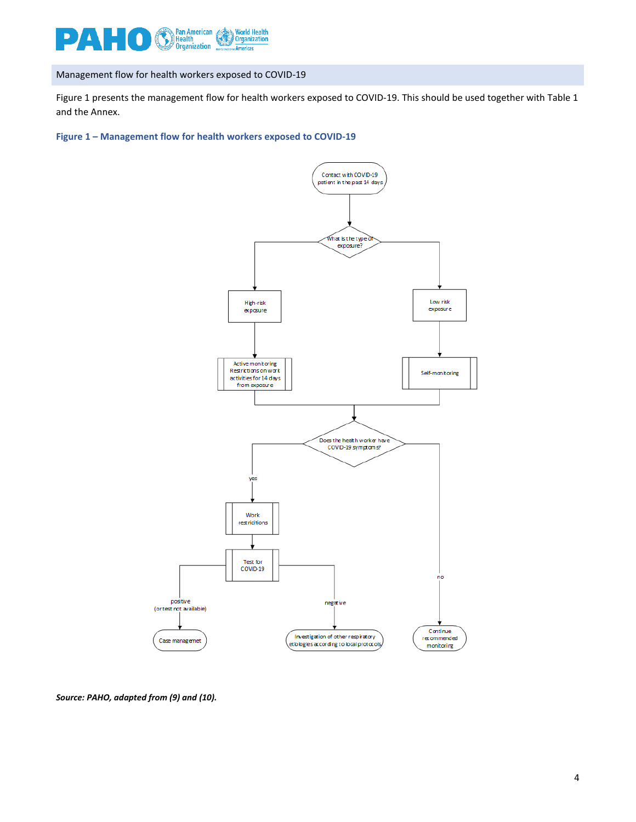

Management flow for health workers exposed to COVID-19

Figure 1 presents the management flow for health workers exposed to COVID-19. This should be used together with Table 1 and the Annex.

**Figure 1 – Management flow for health workers exposed to COVID-19**



*Source: PAHO, adapted from (9) and (10).*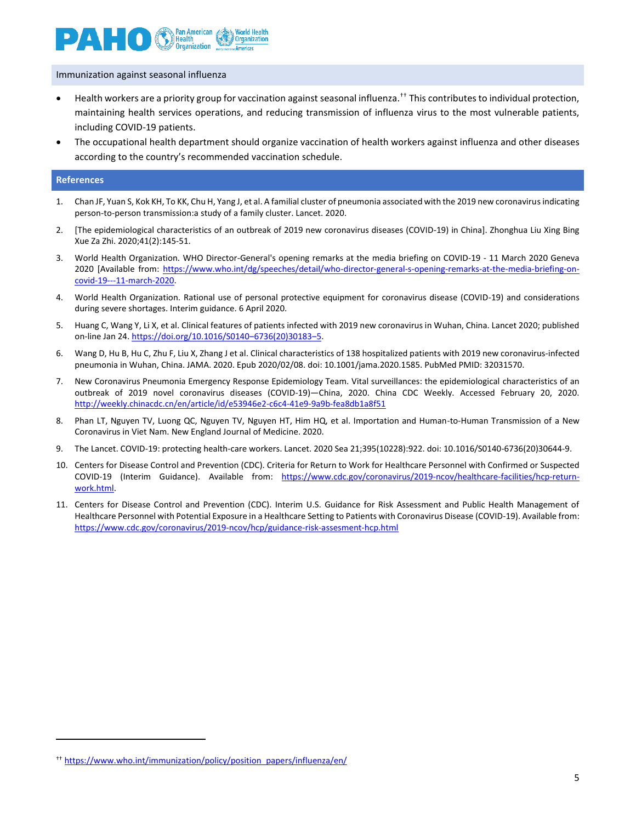

Immunization against seasonal influenza

- Health workers are a priority group for vaccination against seasonal influenza.<sup>††</sup> This contributes to individual protection, maintaining health services operations, and reducing transmission of influenza virus to the most vulnerable patients, including COVID-19 patients.
- The occupational health department should organize vaccination of health workers against influenza and other diseases according to the country's recommended vaccination schedule.

#### **References**

 $\overline{a}$ 

- 1. Chan JF, Yuan S, Kok KH, To KK, Chu H, Yang J, et al. A familial cluster of pneumonia associated with the 2019 new coronavirus indicating person-to-person transmission:a study of a family cluster. Lancet. 2020.
- 2. [The epidemiological characteristics of an outbreak of 2019 new coronavirus diseases (COVID-19) in China]. Zhonghua Liu Xing Bing Xue Za Zhi. 2020;41(2):145-51.
- 3. World Health Organization. WHO Director-General's opening remarks at the media briefing on COVID-19 11 March 2020 Geneva 2020 [Available from: [https://www.who.int/dg/speeches/detail/who-director-general-s-opening-remarks-at-the-media-briefing-on](https://www.who.int/dg/speeches/detail/who-director-general-s-opening-remarks-at-the-media-briefing-on-covid-19---11-march-2020)[covid-19---11-march-2020.](https://www.who.int/dg/speeches/detail/who-director-general-s-opening-remarks-at-the-media-briefing-on-covid-19---11-march-2020)
- 4. World Health Organization. Rational use of personal protective equipment for coronavirus disease (COVID-19) and considerations during severe shortages. Interim guidance. 6 April 2020.
- 5. Huang C, Wang Y, Li X, et al. Clinical features of patients infected with 2019 new coronavirus in Wuhan, China. Lancet 2020; published on-line Jan 24. https://doi.org/10.1016/S0140-6736(20)30183-5.
- 6. Wang D, Hu B, Hu C, Zhu F, Liu X, Zhang J et al. Clinical characteristics of 138 hospitalized patients with 2019 new coronavirus-infected pneumonia in Wuhan, China. JAMA. 2020. Epub 2020/02/08. doi: 10.1001/jama.2020.1585. PubMed PMID: 32031570.
- 7. New Coronavirus Pneumonia Emergency Response Epidemiology Team. Vital surveillances: the epidemiological characteristics of an outbreak of 2019 novel coronavirus diseases (COVID-19)—China, 2020. China CDC Weekly. Accessed February 20, 2020. <http://weekly.chinacdc.cn/en/article/id/e53946e2-c6c4-41e9-9a9b-fea8db1a8f51>
- 8. Phan LT, Nguyen TV, Luong QC, Nguyen TV, Nguyen HT, Him HQ, et al. Importation and Human-to-Human Transmission of a New Coronavirus in Viet Nam. New England Journal of Medicine. 2020.
- 9. The Lancet. COVID-19: protecting health-care workers. Lancet. 2020 Sea 21;395(10228):922. doi: 10.1016/S0140-6736(20)30644-9.
- 10. Centers for Disease Control and Prevention (CDC). Criteria for Return to Work for Healthcare Personnel with Confirmed or Suspected COVID-19 (Interim Guidance). Available from: [https://www.cdc.gov/coronavirus/2019-ncov/healthcare-facilities/hcp-return](https://www.cdc.gov/coronavirus/2019-ncov/healthcare-facilities/hcp-return-work.html)[work.html.](https://www.cdc.gov/coronavirus/2019-ncov/healthcare-facilities/hcp-return-work.html)
- 11. Centers for Disease Control and Prevention (CDC). Interim U.S. Guidance for Risk Assessment and Public Health Management of Healthcare Personnel with Potential Exposure in a Healthcare Setting to Patients with Coronavirus Disease (COVID-19). Available from: <https://www.cdc.gov/coronavirus/2019-ncov/hcp/guidance-risk-assesment-hcp.html>

<sup>††</sup> [https://www.who.int/immunization/policy/position\\_papers/influenza/en/](https://www.who.int/immunization/policy/position_papers/influenza/en/)